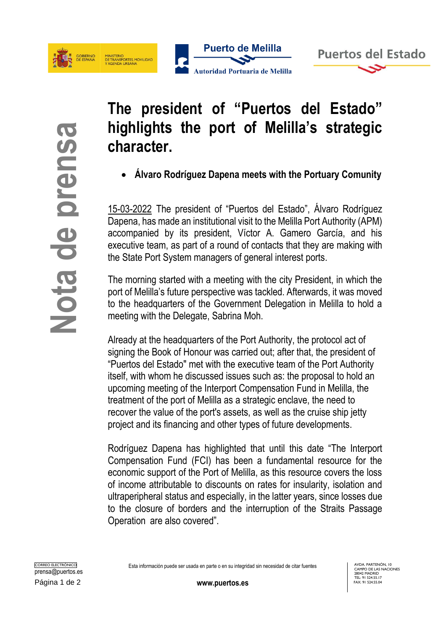

**Puerto de Melilla** Autoridad Portuaria de Melilla



**The president of "Puertos del Estado" highlights the port of Melilla's strategic character.**

• **Álvaro Rodríguez Dapena meets with the Portuary Comunity**

15-03-2022 The president of "Puertos del Estado", Álvaro Rodríguez Dapena, has made an institutional visit to the Melilla Port Authority (APM) accompanied by its president, Víctor A. Gamero García, and his executive team, as part of a round of contacts that they are making with the State Port System managers of general interest ports.

The morning started with a meeting with the city President, in which the port of Melilla's future perspective was tackled. Afterwards, it was moved to the headquarters of the Government Delegation in Melilla to hold a meeting with the Delegate, Sabrina Moh.

**COMPRESS THE STATE STATE CONSTRANS THE CONSTRANS TO CONSTRANS THE CONSTRANS TO A SUMPORT THE CONSTRANS TO A SUMPORT THE CONSTRANS THE CONSTRANS THE CONSTRANS THE CONSTRANS THE CONSTRANS THE CONSTRANS THE CONSTRANS THE CON** Already at the headquarters of the Port Authority, the protocol act of signing the Book of Honour was carried out; after that, the president of "Puertos del Estado" met with the executive team of the Port Authority itself, with whom he discussed issues such as: the proposal to hold an upcoming meeting of the Interport Compensation Fund in Melilla, the treatment of the port of Melilla as a strategic enclave, the need to recover the value of the port's assets, as well as the cruise ship jetty project and its financing and other types of future developments.

Rodríguez Dapena has highlighted that until this date "The Interport Compensation Fund (FCI) has been a fundamental resource for the economic support of the Port of Melilla, as this resource covers the loss of income attributable to discounts on rates for insularity, isolation and ultraperipheral status and especially, in the latter years, since losses due to the closure of borders and the interruption of the Straits Passage Operation are also covered".